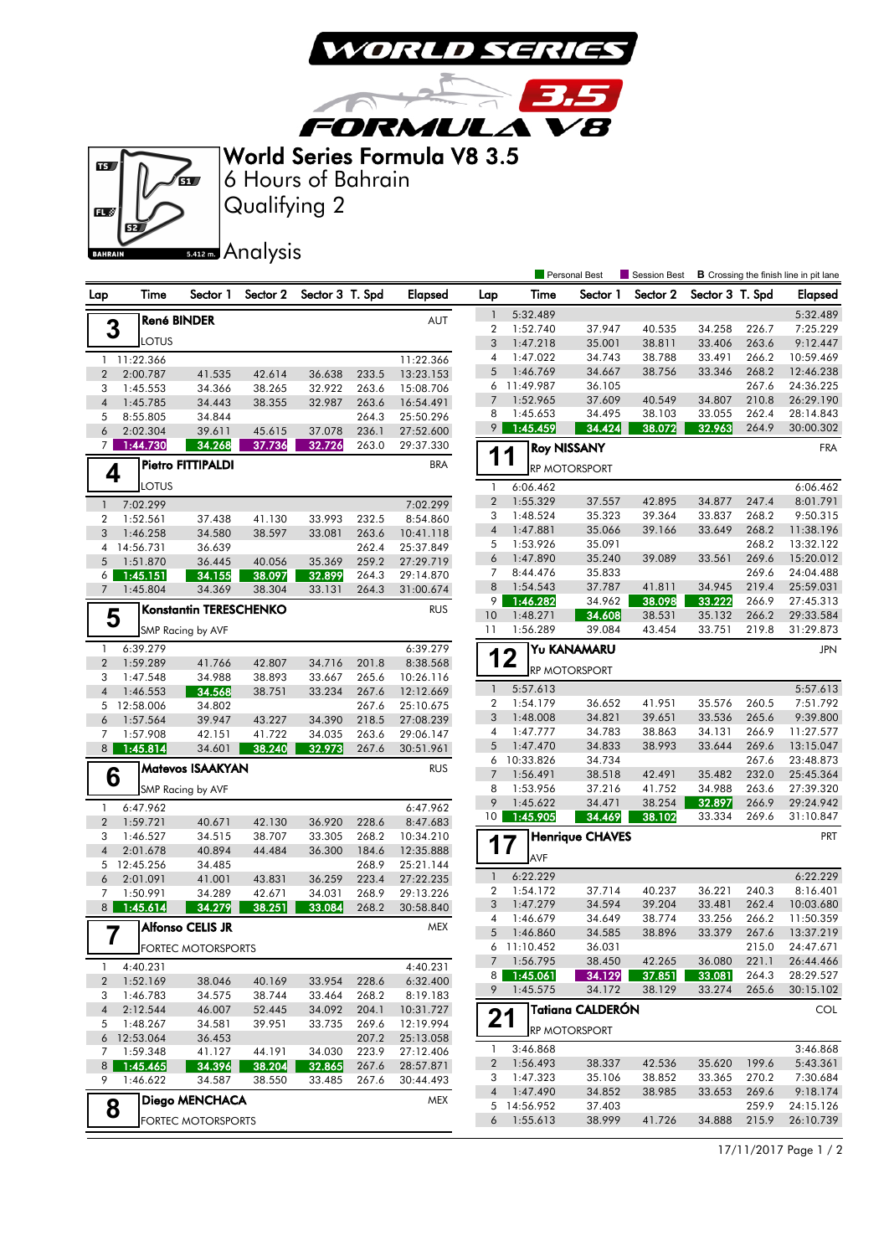

3,5

**FORMULA V8** World Series Formula V8 3.5

 $\sqrt{2}$ 



Qualifying 2 6 Hours of Bahrain

5.412 m. Analysis

|                                      |                      |                               |                  |                  |                |                        |                 | <b>Personal Best</b> |                         |                  | Session Best<br><b>B</b> Crossing the finish line in pit lane |                |                        |  |
|--------------------------------------|----------------------|-------------------------------|------------------|------------------|----------------|------------------------|-----------------|----------------------|-------------------------|------------------|---------------------------------------------------------------|----------------|------------------------|--|
| Lap                                  | Time                 | Sector 1                      | Sector 2         | Sector 3 T. Spd  |                | <b>Elapsed</b>         | Lap             | Time                 | Sector 1                | Sector 2         | Sector 3 T. Spd                                               |                | <b>Elapsed</b>         |  |
|                                      |                      | <b>René BINDER</b>            |                  |                  |                | <b>AUT</b>             | $\mathbf{1}$    | 5:32.489             |                         |                  |                                                               |                | 5:32.489               |  |
| 3                                    |                      |                               |                  |                  |                |                        | $\overline{2}$  | 1:52.740             | 37.947                  | 40.535           | 34.258                                                        | 226.7          | 7:25.229               |  |
|                                      | LOTUS                |                               |                  |                  |                |                        | 3               | 1:47.218             | 35.001                  | 38.811           | 33.406                                                        | 263.6          | 9:12.447               |  |
|                                      | 1 11:22.366          |                               |                  |                  |                | 11:22.366              | 4               | 1:47.022             | 34.743                  | 38.788           | 33.491                                                        | 266.2          | 10:59.469              |  |
| $\overline{2}$                       | 2:00.787             | 41.535                        | 42.614           | 36.638           | 233.5          | 13:23.153              | 5               | 1:46.769             | 34.667                  | 38.756           | 33.346                                                        | 268.2          | 12:46.238              |  |
| 3                                    | 1:45.553             | 34.366                        | 38.265           | 32.922           | 263.6          | 15:08.706              | 6               | 11:49.987            | 36.105                  |                  |                                                               | 267.6          | 24:36.225              |  |
| $\overline{4}$                       | 1:45.785             | 34.443                        | 38.355           | 32.987           | 263.6          | 16:54.491              | 7<br>8          | 1:52.965<br>1:45.653 | 37.609<br>34.495        | 40.549<br>38.103 | 34.807<br>33.055                                              | 210.8<br>262.4 | 26:29.190<br>28:14.843 |  |
| 5                                    | 8:55.805             | 34.844                        |                  |                  | 264.3          | 25:50.296              | 9               | 1:45.459             | 34.424                  | 38.072           | 32.963                                                        | 264.9          | 30:00.302              |  |
| 6<br>7                               | 2:02.304<br>1:44.730 | 39.611<br>34.268              | 45.615<br>37.736 | 37.078<br>32.726 | 236.1<br>263.0 | 27:52.600<br>29:37.330 |                 |                      |                         |                  |                                                               |                |                        |  |
|                                      |                      |                               |                  |                  |                |                        | 1               | 1                    | <b>Roy NISSANY</b>      |                  |                                                               |                | <b>FRA</b>             |  |
| Pietro FITTIPALDI<br><b>BRA</b><br>4 |                      |                               |                  |                  |                |                        |                 | <b>RP MOTORSPORT</b> |                         |                  |                                                               |                |                        |  |
|                                      | LOTUS                |                               |                  |                  |                |                        | $\mathbf{1}$    | 6:06.462             |                         |                  |                                                               |                | 6:06.462               |  |
| $\mathbf{1}$                         | 7:02.299             |                               |                  |                  |                | 7:02.299               | $\overline{2}$  | 1:55.329             | 37.557                  | 42.895           | 34.877<br>33.837                                              | 247.4          | 8:01.791               |  |
| 2                                    | 1:52.561             | 37.438                        | 41.130           | 33.993           | 232.5          | 8:54.860               | 3<br>$\sqrt{4}$ | 1:48.524<br>1:47.881 | 35.323<br>35.066        | 39.364<br>39.166 | 33.649                                                        | 268.2<br>268.2 | 9:50.315<br>11:38.196  |  |
| 3                                    | 1:46.258             | 34.580                        | 38.597           | 33.081           | 263.6          | 10:41.118              | 5               | 1:53.926             | 35.091                  |                  |                                                               | 268.2          | 13:32.122              |  |
|                                      | 4 14:56.731          | 36.639                        |                  |                  | 262.4          | 25:37.849              | 6               | 1:47.890             | 35.240                  | 39.089           | 33.561                                                        | 269.6          | 15:20.012              |  |
| 5                                    | 1:51.870             | 36.445<br>34.155              | 40.056<br>38.097 | 35.369           | 259.2<br>264.3 | 27:29.719<br>29:14.870 | 7               | 8:44.476             | 35.833                  |                  |                                                               | 269.6          | 24:04.488              |  |
| 6<br>$\overline{7}$                  | 1:45.151<br>1:45.804 | 34.369                        | 38.304           | 32.899<br>33.131 | 264.3          | 31:00.674              | 8               | 1:54.543             | 37.787                  | 41.811           | 34.945                                                        | 219.4          | 25:59.031              |  |
|                                      |                      |                               |                  |                  |                |                        | 9               | 1:46.282             | 34.962                  | 38.098           | 33.222                                                        | 266.9          | 27:45.313              |  |
| 5                                    |                      | <b>Konstantin TERESCHENKO</b> |                  |                  |                | <b>RUS</b>             | 10              | 1:48.271             | 34.608                  | 38.531           | 35.132                                                        | 266.2          | 29:33.584              |  |
|                                      |                      | SMP Racing by AVF             |                  |                  |                |                        | 11              | 1:56.289             | 39.084                  | 43.454           | 33.751                                                        | 219.8          | 31:29.873              |  |
| 1                                    | 6:39.279             |                               |                  |                  |                | 6:39.279               |                 |                      | Yu KANAMARU             |                  |                                                               |                | <b>JPN</b>             |  |
| $\overline{2}$                       | 1:59.289             | 41.766                        | 42.807           | 34.716           | 201.8          | 8:38.568               |                 | 12                   |                         |                  |                                                               |                |                        |  |
| 3                                    | 1:47.548             | 34.988                        | 38.893           | 33.667           | 265.6          | 10:26.116              |                 |                      | RP MOTORSPORT           |                  |                                                               |                |                        |  |
| $\overline{4}$                       | 1:46.553             | 34.568                        | 38.751           | 33.234           | 267.6          | 12:12.669              | $\mathbf{1}$    | 5:57.613             |                         |                  |                                                               |                | 5:57.613               |  |
| 5                                    | 12:58.006            | 34.802                        |                  |                  | 267.6          | 25:10.675              | 2               | 1:54.179             | 36.652                  | 41.951           | 35.576                                                        | 260.5          | 7:51.792               |  |
| 6                                    | 1:57.564             | 39.947                        | 43.227           | 34.390           | 218.5          | 27:08.239              | 3               | 1:48.008             | 34.821                  | 39.651           | 33.536                                                        | 265.6          | 9:39.800               |  |
| 7                                    | 1:57.908             | 42.151                        | 41.722           | 34.035           | 263.6          | 29:06.147              | 4               | 1:47.777             | 34.783                  | 38.863           | 34.131                                                        | 266.9          | 11:27.577              |  |
| 8                                    | 1:45.814             | 34.601                        | 38.240           | 32.973           | 267.6          | 30:51.961              | 5               | 1:47.470             | 34.833                  | 38.993           | 33.644                                                        | 269.6          | 13:15.047              |  |
|                                      |                      | Matevos ISAAKYAN              |                  |                  |                | <b>RUS</b>             | 6               | 10:33.826            | 34.734                  |                  |                                                               | 267.6          | 23:48.873              |  |
| 6                                    |                      |                               |                  |                  |                |                        | $\overline{7}$  | 1:56.491             | 38.518                  | 42.491           | 35.482                                                        | 232.0          | 25:45.364              |  |
|                                      |                      | SMP Racing by AVF             |                  |                  |                |                        | 8<br>9          | 1:53.956<br>1:45.622 | 37.216                  | 41.752           | 34.988                                                        | 263.6          | 27:39.320              |  |
| 1                                    | 6:47.962             |                               |                  |                  |                | 6:47.962               | 10              | 1:45.905             | 34.471<br>34.469        | 38.254<br>38.102 | 32.897<br>33.334                                              | 266.9<br>269.6 | 29:24.942<br>31:10.847 |  |
| $\overline{2}$                       | 1:59.721             | 40.671                        | 42.130           | 36.920           | 228.6          | 8:47.683               |                 |                      |                         |                  |                                                               |                |                        |  |
| 3                                    | 1:46.527             | 34.515                        | 38.707           | 33.305           | 268.2          | 10:34.210              |                 | 17                   | <b>Henrique CHAVES</b>  |                  |                                                               |                | PRT                    |  |
| 4                                    | 2:01.678             | 40.894                        | 44.484           | 36.300           | 184.6          | 12:35.888              |                 | AVF                  |                         |                  |                                                               |                |                        |  |
| 6                                    | 5 12:45.256          | 34.485                        |                  |                  | 268.9<br>223.4 | 25:21.144              | $\mathbf{1}$    | 6:22.229             |                         |                  |                                                               |                | 6:22.229               |  |
| 7                                    | 2:01.091<br>1:50.991 | 41.001<br>34.289              | 43.831<br>42.671 | 36.259<br>34.031 | 268.9          | 27:22.235<br>29:13.226 | 2               | 1:54.172             | 37.714                  | 40.237           | 36.221                                                        | 240.3          | 8:16.401               |  |
| 8                                    | 1:45.614             | 34.279                        | 38.251           | 33.084           | 268.2          | 30:58.840              | 3               | 1:47.279             | 34.594                  | 39.204           | 33.481                                                        | 262.4          | 10:03.680              |  |
|                                      |                      |                               |                  |                  |                |                        | 4               | 1:46.679             | 34.649                  | 38.774           | 33.256                                                        | 266.2          | 11:50.359              |  |
| 7                                    |                      | Alfonso CELIS JR              |                  |                  |                | <b>MEX</b>             | 5               | 1:46.860             | 34.585                  | 38.896           | 33.379                                                        | 267.6          | 13:37.219              |  |
|                                      |                      | <b>FORTEC MOTORSPORTS</b>     |                  |                  |                |                        |                 | 6 11:10.452          | 36.031                  |                  |                                                               | 215.0          | 24:47.671              |  |
| $\mathbf{1}$                         | 4:40.231             |                               |                  |                  |                | 4:40.231               |                 | 7 1:56.795           | 38.450                  | 42.265           | 36.080                                                        | 221.1          | 26:44.466              |  |
| 2                                    | 1:52.169             | 38.046                        | 40.169           | 33.954           | 228.6          | 6:32.400               | 8               | 1:45.061             | 34.129                  | 37.851           | 33.081                                                        | 264.3          | 28:29.527              |  |
| 3                                    | 1:46.783             | 34.575                        | 38.744           | 33.464           | 268.2          | 8:19.183               |                 | 9 1:45.575           | 34.172                  | 38.129           | 33.274                                                        | 265.6          | 30:15.102              |  |
| 4                                    | 2:12.544             | 46.007                        | 52.445           | 34.092           | 204.1          | 10:31.727              |                 |                      | <b>Tatiana CALDERÓN</b> |                  |                                                               |                | <b>COL</b>             |  |
| 5                                    | 1:48.267             | 34.581                        | 39.951           | 33.735           | 269.6          | 12:19.994              | 21              |                      |                         |                  |                                                               |                |                        |  |
|                                      | 6 12:53.064          | 36.453                        |                  |                  | 207.2          | 25:13.058              |                 |                      | RP MOTORSPORT           |                  |                                                               |                |                        |  |
| $\overline{7}$                       | 1:59.348             | 41.127                        | 44.191           | 34.030           | 223.9          | 27:12.406              | 1               | 3:46.868             |                         |                  |                                                               |                | 3:46.868               |  |
| 8 <sup>1</sup>                       | 1:45.465             | 34.396                        | 38.204           | 32.865           | 267.6          | 28:57.871              | 2               | 1:56.493             | 38.337                  | 42.536           | 35.620                                                        | 199.6          | 5:43.361               |  |
| 9                                    | 1:46.622             | 34.587                        | 38.550           | 33.485           | 267.6          | 30:44.493              | З               | 1:47.323             | 35.106                  | 38.852           | 33.365                                                        | 270.2          | 7:30.684               |  |
|                                      |                      | Diego MENCHACA                |                  |                  |                | <b>MEX</b>             | 4               | 1:47.490             | 34.852                  | 38.985           | 33.653                                                        | 269.6          | 9:18.174               |  |
| 8                                    |                      |                               |                  |                  |                |                        |                 | 5 14:56.952          | 37.403                  |                  |                                                               | 259.9          | 24:15.126              |  |
|                                      |                      | <b>FORTEC MOTORSPORTS</b>     |                  |                  |                |                        | 6               | 1:55.613             | 38.999                  | 41.726           | 34.888                                                        | 215.9          | 26:10.739              |  |

17/11/2017 Page 1 / 2